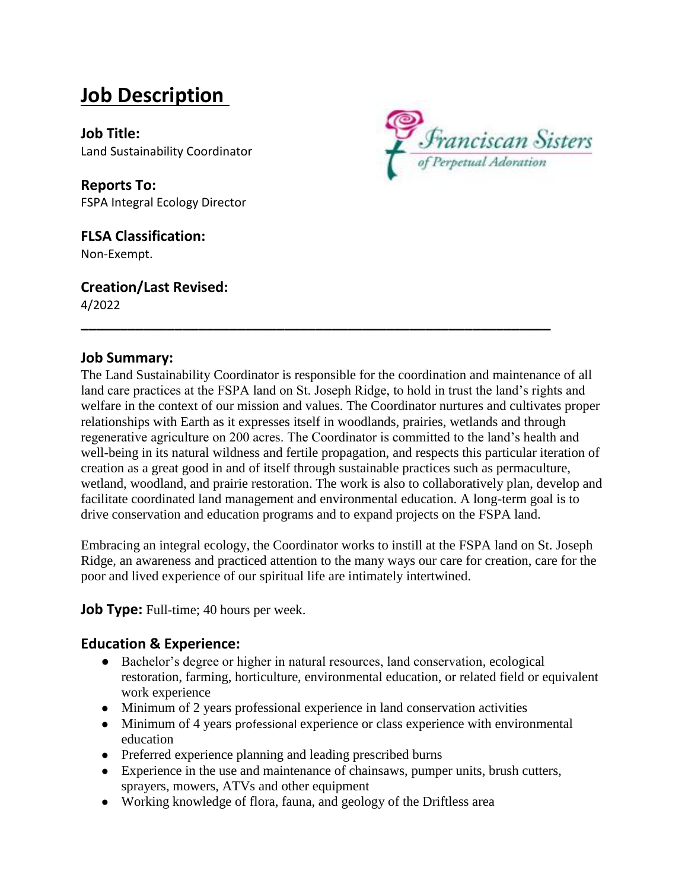# **Job Description**

**Job Title:** Land Sustainability Coordinator

**Reports To:** FSPA Integral Ecology Director

#### **FLSA Classification:** Non-Exempt.

**Creation/Last Revised:**

4/2022



## **Job Summary:**

The Land Sustainability Coordinator is responsible for the coordination and maintenance of all land care practices at the FSPA land on St. Joseph Ridge, to hold in trust the land's rights and welfare in the context of our mission and values. The Coordinator nurtures and cultivates proper relationships with Earth as it expresses itself in woodlands, prairies, wetlands and through regenerative agriculture on 200 acres. The Coordinator is committed to the land's health and well-being in its natural wildness and fertile propagation, and respects this particular iteration of creation as a great good in and of itself through sustainable practices such as permaculture, wetland, woodland, and prairie restoration. The work is also to collaboratively plan, develop and facilitate coordinated land management and environmental education. A long-term goal is to drive conservation and education programs and to expand projects on the FSPA land.

**\_\_\_\_\_\_\_\_\_\_\_\_\_\_\_\_\_\_\_\_\_\_\_\_\_\_\_\_\_\_\_\_\_\_\_\_\_\_\_\_\_\_\_\_\_\_\_\_\_\_\_\_\_\_\_\_\_\_\_\_**

Embracing an integral ecology, the Coordinator works to instill at the FSPA land on St. Joseph Ridge, an awareness and practiced attention to the many ways our care for creation, care for the poor and lived experience of our spiritual life are intimately intertwined.

**Job Type:** Full-time; 40 hours per week.

# **Education & Experience:**

- Bachelor's degree or higher in natural resources, land conservation, ecological restoration, farming, horticulture, environmental education, or related field or equivalent work experience
- Minimum of 2 years professional experience in land conservation activities
- Minimum of 4 years professional experience or class experience with environmental education
- Preferred experience planning and leading prescribed burns
- Experience in the use and maintenance of chainsaws, pumper units, brush cutters, sprayers, mowers, ATVs and other equipment
- Working knowledge of flora, fauna, and geology of the Driftless area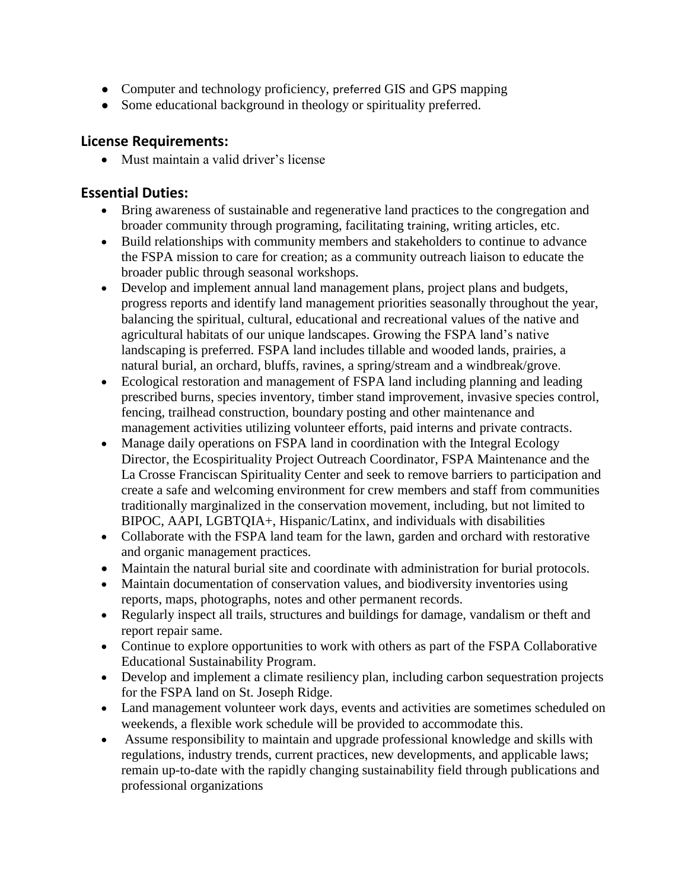- Computer and technology proficiency, preferred GIS and GPS mapping
- Some educational background in theology or spirituality preferred.

## **License Requirements:**

• Must maintain a valid driver's license

## **Essential Duties:**

- Bring awareness of sustainable and regenerative land practices to the congregation and broader community through programing, facilitating training, writing articles, etc.
- Build relationships with community members and stakeholders to continue to advance the FSPA mission to care for creation; as a community outreach liaison to educate the broader public through seasonal workshops.
- Develop and implement annual land management plans, project plans and budgets, progress reports and identify land management priorities seasonally throughout the year, balancing the spiritual, cultural, educational and recreational values of the native and agricultural habitats of our unique landscapes. Growing the FSPA land's native landscaping is preferred. FSPA land includes tillable and wooded lands, prairies, a natural burial, an orchard, bluffs, ravines, a spring/stream and a windbreak/grove.
- Ecological restoration and management of FSPA land including planning and leading prescribed burns, species inventory, timber stand improvement, invasive species control, fencing, trailhead construction, boundary posting and other maintenance and management activities utilizing volunteer efforts, paid interns and private contracts.
- Manage daily operations on FSPA land in coordination with the Integral Ecology Director, the Ecospirituality Project Outreach Coordinator, FSPA Maintenance and the La Crosse Franciscan Spirituality Center and seek to remove barriers to participation and create a safe and welcoming environment for crew members and staff from communities traditionally marginalized in the conservation movement, including, but not limited to BIPOC, AAPI, LGBTQIA+, Hispanic/Latinx, and individuals with disabilities
- Collaborate with the FSPA land team for the lawn, garden and orchard with restorative and organic management practices.
- Maintain the natural burial site and coordinate with administration for burial protocols.
- Maintain documentation of conservation values, and biodiversity inventories using reports, maps, photographs, notes and other permanent records.
- Regularly inspect all trails, structures and buildings for damage, vandalism or theft and report repair same.
- Continue to explore opportunities to work with others as part of the FSPA Collaborative Educational Sustainability Program.
- Develop and implement a climate resiliency plan, including carbon sequestration projects for the FSPA land on St. Joseph Ridge.
- Land management volunteer work days, events and activities are sometimes scheduled on weekends, a flexible work schedule will be provided to accommodate this.
- Assume responsibility to maintain and upgrade professional knowledge and skills with regulations, industry trends, current practices, new developments, and applicable laws; remain up-to-date with the rapidly changing sustainability field through publications and professional organizations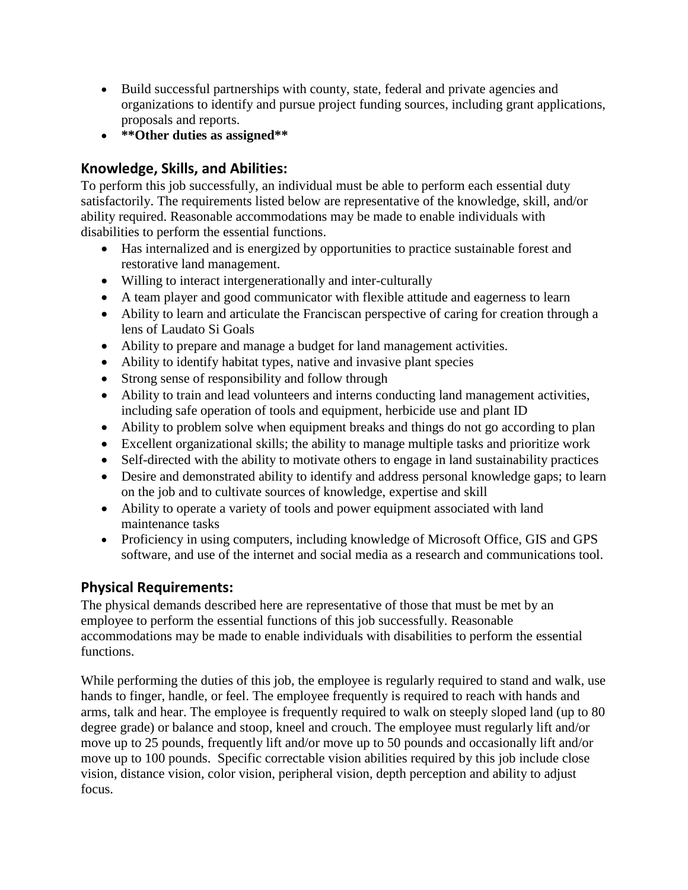- Build successful partnerships with county, state, federal and private agencies and organizations to identify and pursue project funding sources, including grant applications, proposals and reports.
- **\*\*Other duties as assigned\*\***

# **Knowledge, Skills, and Abilities:**

To perform this job successfully, an individual must be able to perform each essential duty satisfactorily. The requirements listed below are representative of the knowledge, skill, and/or ability required. Reasonable accommodations may be made to enable individuals with disabilities to perform the essential functions.

- Has internalized and is energized by opportunities to practice sustainable forest and restorative land management.
- Willing to interact intergenerationally and inter-culturally
- A team player and good communicator with flexible attitude and eagerness to learn
- Ability to learn and articulate the Franciscan perspective of caring for creation through a lens of Laudato Si Goals
- Ability to prepare and manage a budget for land management activities.
- Ability to identify habitat types, native and invasive plant species
- Strong sense of responsibility and follow through
- Ability to train and lead volunteers and interns conducting land management activities, including safe operation of tools and equipment, herbicide use and plant ID
- Ability to problem solve when equipment breaks and things do not go according to plan
- Excellent organizational skills; the ability to manage multiple tasks and prioritize work
- Self-directed with the ability to motivate others to engage in land sustainability practices
- Desire and demonstrated ability to identify and address personal knowledge gaps; to learn on the job and to cultivate sources of knowledge, expertise and skill
- Ability to operate a variety of tools and power equipment associated with land maintenance tasks
- Proficiency in using computers, including knowledge of Microsoft Office, GIS and GPS software, and use of the internet and social media as a research and communications tool.

# **Physical Requirements:**

The physical demands described here are representative of those that must be met by an employee to perform the essential functions of this job successfully. Reasonable accommodations may be made to enable individuals with disabilities to perform the essential functions.

While performing the duties of this job, the employee is regularly required to stand and walk, use hands to finger, handle, or feel. The employee frequently is required to reach with hands and arms, talk and hear. The employee is frequently required to walk on steeply sloped land (up to 80 degree grade) or balance and stoop, kneel and crouch. The employee must regularly lift and/or move up to 25 pounds, frequently lift and/or move up to 50 pounds and occasionally lift and/or move up to 100 pounds. Specific correctable vision abilities required by this job include close vision, distance vision, color vision, peripheral vision, depth perception and ability to adjust focus.